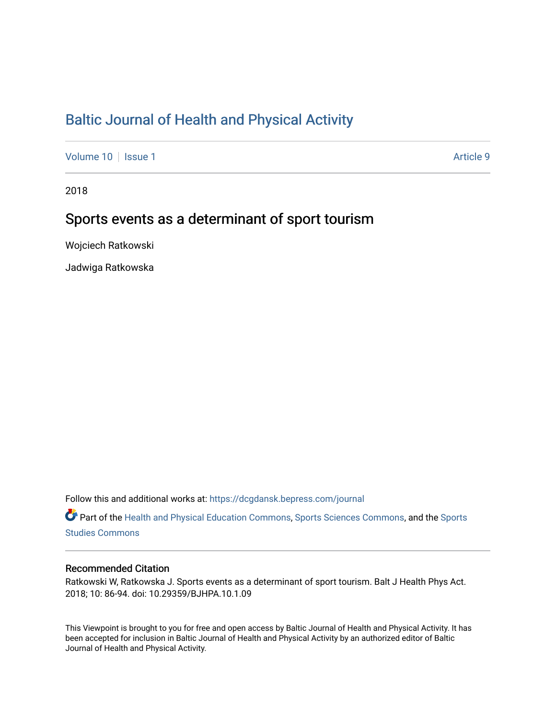# [Baltic Journal of Health and Physical Activity](https://dcgdansk.bepress.com/journal)

[Volume 10](https://dcgdansk.bepress.com/journal/vol10) | [Issue 1](https://dcgdansk.bepress.com/journal/vol10/iss1) Article 9

2018

# Sports events as a determinant of sport tourism

Wojciech Ratkowski

Jadwiga Ratkowska

Follow this and additional works at: [https://dcgdansk.bepress.com/journal](https://dcgdansk.bepress.com/journal?utm_source=dcgdansk.bepress.com%2Fjournal%2Fvol10%2Fiss1%2F9&utm_medium=PDF&utm_campaign=PDFCoverPages)

Part of the [Health and Physical Education Commons](http://network.bepress.com/hgg/discipline/1327?utm_source=dcgdansk.bepress.com%2Fjournal%2Fvol10%2Fiss1%2F9&utm_medium=PDF&utm_campaign=PDFCoverPages), [Sports Sciences Commons](http://network.bepress.com/hgg/discipline/759?utm_source=dcgdansk.bepress.com%2Fjournal%2Fvol10%2Fiss1%2F9&utm_medium=PDF&utm_campaign=PDFCoverPages), and the [Sports](http://network.bepress.com/hgg/discipline/1198?utm_source=dcgdansk.bepress.com%2Fjournal%2Fvol10%2Fiss1%2F9&utm_medium=PDF&utm_campaign=PDFCoverPages)  [Studies Commons](http://network.bepress.com/hgg/discipline/1198?utm_source=dcgdansk.bepress.com%2Fjournal%2Fvol10%2Fiss1%2F9&utm_medium=PDF&utm_campaign=PDFCoverPages) 

#### Recommended Citation

Ratkowski W, Ratkowska J. Sports events as a determinant of sport tourism. Balt J Health Phys Act. 2018; 10: 86-94. doi: 10.29359/BJHPA.10.1.09

This Viewpoint is brought to you for free and open access by Baltic Journal of Health and Physical Activity. It has been accepted for inclusion in Baltic Journal of Health and Physical Activity by an authorized editor of Baltic Journal of Health and Physical Activity.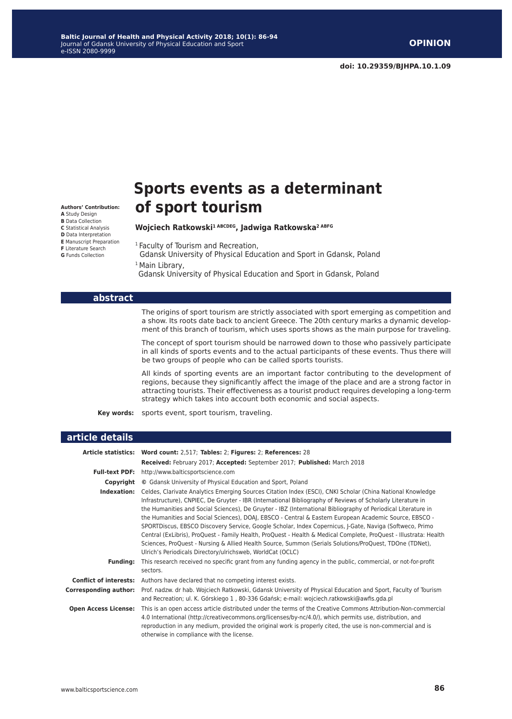# **Sports events as a determinant of sport tourism**

#### **Wojciech Ratkowski1 ABCDEG, Jadwiga Ratkowska2 ABFG**

<sup>1</sup> Faculty of Tourism and Recreation,

 Gdansk University of Physical Education and Sport in Gdansk, Poland <sup>1</sup> Main Library,

Gdansk University of Physical Education and Sport in Gdansk, Poland

|                              | The origins of sport tourism are strictly associated with sport emerging as competition and<br>a show. Its roots date back to ancient Greece. The 20th century marks a dynamic develop-<br>ment of this branch of tourism, which uses sports shows as the main purpose for traveling.                                                                                                                                                                                                                                                                                                                                                                                                                                                                                                                                                                                     |
|------------------------------|---------------------------------------------------------------------------------------------------------------------------------------------------------------------------------------------------------------------------------------------------------------------------------------------------------------------------------------------------------------------------------------------------------------------------------------------------------------------------------------------------------------------------------------------------------------------------------------------------------------------------------------------------------------------------------------------------------------------------------------------------------------------------------------------------------------------------------------------------------------------------|
|                              | The concept of sport tourism should be narrowed down to those who passively participate<br>in all kinds of sports events and to the actual participants of these events. Thus there will<br>be two groups of people who can be called sports tourists.                                                                                                                                                                                                                                                                                                                                                                                                                                                                                                                                                                                                                    |
|                              | All kinds of sporting events are an important factor contributing to the development of<br>regions, because they significantly affect the image of the place and are a strong factor in<br>attracting tourists. Their effectiveness as a tourist product requires developing a long-term<br>strategy which takes into account both economic and social aspects.                                                                                                                                                                                                                                                                                                                                                                                                                                                                                                           |
| Key words:                   | sports event, sport tourism, traveling.                                                                                                                                                                                                                                                                                                                                                                                                                                                                                                                                                                                                                                                                                                                                                                                                                                   |
|                              |                                                                                                                                                                                                                                                                                                                                                                                                                                                                                                                                                                                                                                                                                                                                                                                                                                                                           |
| article details              |                                                                                                                                                                                                                                                                                                                                                                                                                                                                                                                                                                                                                                                                                                                                                                                                                                                                           |
|                              | Article statistics: Word count: 2,517; Tables: 2; Figures: 2; References: 28                                                                                                                                                                                                                                                                                                                                                                                                                                                                                                                                                                                                                                                                                                                                                                                              |
|                              | Received: February 2017; Accepted: September 2017; Published: March 2018                                                                                                                                                                                                                                                                                                                                                                                                                                                                                                                                                                                                                                                                                                                                                                                                  |
| <b>Full-text PDF:</b>        | http://www.balticsportscience.com                                                                                                                                                                                                                                                                                                                                                                                                                                                                                                                                                                                                                                                                                                                                                                                                                                         |
|                              | <b>Copyright</b> © Gdansk University of Physical Education and Sport, Poland                                                                                                                                                                                                                                                                                                                                                                                                                                                                                                                                                                                                                                                                                                                                                                                              |
|                              | Indexation: Celdes, Clarivate Analytics Emerging Sources Citation Index (ESCI), CNKI Scholar (China National Knowledge<br>Infrastructure), CNPIEC, De Gruyter - IBR (International Bibliography of Reviews of Scholarly Literature in<br>the Humanities and Social Sciences), De Gruyter - IBZ (International Bibliography of Periodical Literature in<br>the Humanities and Social Sciences), DOAJ, EBSCO - Central & Eastern European Academic Source, EBSCO -<br>SPORTDiscus, EBSCO Discovery Service, Google Scholar, Index Copernicus, J-Gate, Naviga (Softweco, Primo<br>Central (ExLibris), ProQuest - Family Health, ProQuest - Health & Medical Complete, ProQuest - Illustrata: Health<br>Sciences, ProQuest - Nursing & Allied Health Source, Summon (Serials Solutions/ProQuest, TDOne (TDNet),<br>Ulrich's Periodicals Directory/ulrichsweb, WorldCat (OCLC) |
| <b>Funding:</b>              | This research received no specific grant from any funding agency in the public, commercial, or not-for-profit<br>sectors.                                                                                                                                                                                                                                                                                                                                                                                                                                                                                                                                                                                                                                                                                                                                                 |
|                              | <b>Conflict of interests:</b> Authors have declared that no competing interest exists.                                                                                                                                                                                                                                                                                                                                                                                                                                                                                                                                                                                                                                                                                                                                                                                    |
| <b>Corresponding author:</b> | Prof. nadzw. dr hab. Wojciech Ratkowski, Gdansk University of Physical Education and Sport, Faculty of Tourism<br>and Recreation; ul. K. Górskiego 1, 80-336 Gdańsk; e-mail: wojciech.ratkowski@awfis.gda.pl                                                                                                                                                                                                                                                                                                                                                                                                                                                                                                                                                                                                                                                              |
| <b>Open Access License:</b>  | This is an open access article distributed under the terms of the Creative Commons Attribution-Non-commercial<br>4.0 International (http://creativecommons.org/licenses/by-nc/4.0/), which permits use, distribution, and<br>reproduction in any medium, provided the original work is properly cited, the use is non-commercial and is<br>otherwise in compliance with the license.                                                                                                                                                                                                                                                                                                                                                                                                                                                                                      |

**Authors' Contribution: A** Study Design **B** Data Collection **C** Statistical Analysis **D** Data Interpretation **E** Manuscript Preparation **F** Literature Search **G** Funds Collection

**abstract**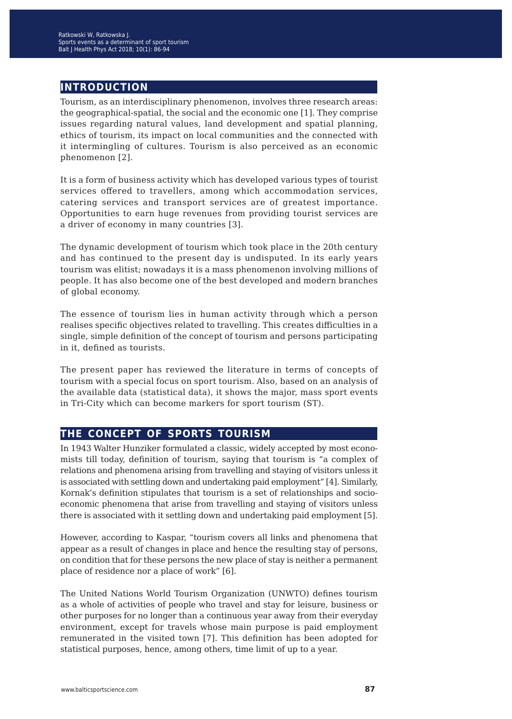## **introduction**

Tourism, as an interdisciplinary phenomenon, involves three research areas: the geographical-spatial, the social and the economic one [1]. They comprise issues regarding natural values, land development and spatial planning, ethics of tourism, its impact on local communities and the connected with it intermingling of cultures. Tourism is also perceived as an economic phenomenon [2].

It is a form of business activity which has developed various types of tourist services offered to travellers, among which accommodation services, catering services and transport services are of greatest importance. Opportunities to earn huge revenues from providing tourist services are a driver of economy in many countries [3].

The dynamic development of tourism which took place in the 20th century and has continued to the present day is undisputed. In its early years tourism was elitist; nowadays it is a mass phenomenon involving millions of people. It has also become one of the best developed and modern branches of global economy.

The essence of tourism lies in human activity through which a person realises specific objectives related to travelling. This creates difficulties in a single, simple definition of the concept of tourism and persons participating in it, defined as tourists.

The present paper has reviewed the literature in terms of concepts of tourism with a special focus on sport tourism. Also, based on an analysis of the available data (statistical data), it shows the major, mass sport events in Tri-City which can become markers for sport tourism (ST).

## **the concept of sports tourism**

In 1943 Walter Hunziker formulated a classic, widely accepted by most economists till today, definition of tourism, saying that tourism is "a complex of relations and phenomena arising from travelling and staying of visitors unless it is associated with settling down and undertaking paid employment" [4]. Similarly, Kornak's definition stipulates that tourism is a set of relationships and socioeconomic phenomena that arise from travelling and staying of visitors unless there is associated with it settling down and undertaking paid employment [5].

However, according to Kaspar, "tourism covers all links and phenomena that appear as a result of changes in place and hence the resulting stay of persons, on condition that for these persons the new place of stay is neither a permanent place of residence nor a place of work" [6].

The United Nations World Tourism Organization (UNWTO) defines tourism as a whole of activities of people who travel and stay for leisure, business or other purposes for no longer than a continuous year away from their everyday environment, except for travels whose main purpose is paid employment remunerated in the visited town [7]. This definition has been adopted for statistical purposes, hence, among others, time limit of up to a year.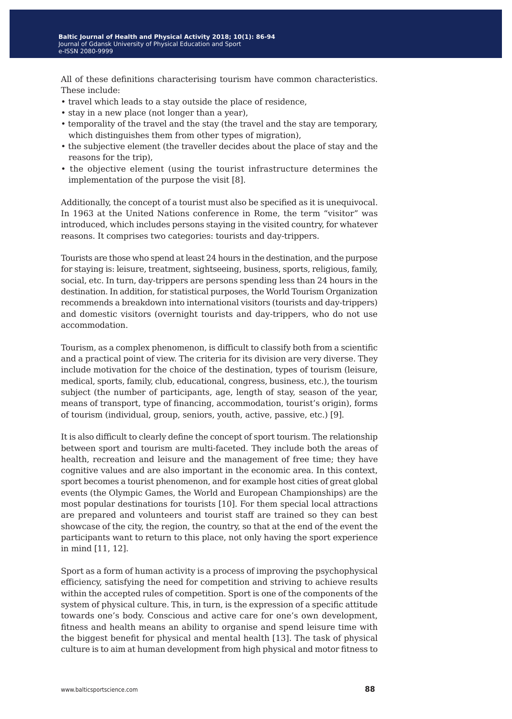All of these definitions characterising tourism have common characteristics. These include:

- travel which leads to a stay outside the place of residence,
- stay in a new place (not longer than a year),
- temporality of the travel and the stay (the travel and the stay are temporary, which distinguishes them from other types of migration),
- the subjective element (the traveller decides about the place of stay and the reasons for the trip),
- the objective element (using the tourist infrastructure determines the implementation of the purpose the visit [8].

Additionally, the concept of a tourist must also be specified as it is unequivocal. In 1963 at the United Nations conference in Rome, the term "visitor" was introduced, which includes persons staying in the visited country, for whatever reasons. It comprises two categories: tourists and day-trippers.

Tourists are those who spend at least 24 hours in the destination, and the purpose for staying is: leisure, treatment, sightseeing, business, sports, religious, family, social, etc. In turn, day-trippers are persons spending less than 24 hours in the destination. In addition, for statistical purposes, the World Tourism Organization recommends a breakdown into international visitors (tourists and day-trippers) and domestic visitors (overnight tourists and day-trippers, who do not use accommodation.

Tourism, as a complex phenomenon, is difficult to classify both from a scientific and a practical point of view. The criteria for its division are very diverse. They include motivation for the choice of the destination, types of tourism (leisure, medical, sports, family, club, educational, congress, business, etc.), the tourism subject (the number of participants, age, length of stay, season of the year, means of transport, type of financing, accommodation, tourist's origin), forms of tourism (individual, group, seniors, youth, active, passive, etc.) [9].

It is also difficult to clearly define the concept of sport tourism. The relationship between sport and tourism are multi-faceted. They include both the areas of health, recreation and leisure and the management of free time; they have cognitive values and are also important in the economic area. In this context, sport becomes a tourist phenomenon, and for example host cities of great global events (the Olympic Games, the World and European Championships) are the most popular destinations for tourists [10]. For them special local attractions are prepared and volunteers and tourist staff are trained so they can best showcase of the city, the region, the country, so that at the end of the event the participants want to return to this place, not only having the sport experience in mind [11, 12].

Sport as a form of human activity is a process of improving the psychophysical efficiency, satisfying the need for competition and striving to achieve results within the accepted rules of competition. Sport is one of the components of the system of physical culture. This, in turn, is the expression of a specific attitude towards one's body. Conscious and active care for one's own development, fitness and health means an ability to organise and spend leisure time with the biggest benefit for physical and mental health [13]. The task of physical culture is to aim at human development from high physical and motor fitness to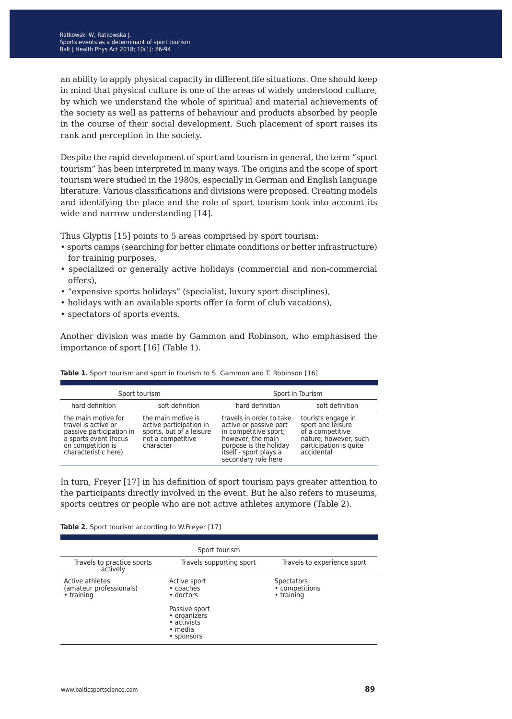an ability to apply physical capacity in different life situations. One should keep in mind that physical culture is one of the areas of widely understood culture, by which we understand the whole of spiritual and material achievements of the society as well as patterns of behaviour and products absorbed by people in the course of their social development. Such placement of sport raises its rank and perception in the society.

Despite the rapid development of sport and tourism in general, the term "sport tourism" has been interpreted in many ways. The origins and the scope of sport tourism were studied in the 1980s, especially in German and English language literature. Various classifications and divisions were proposed. Creating models and identifying the place and the role of sport tourism took into account its wide and narrow understanding [14].

Thus Glyptis [15] points to 5 areas comprised by sport tourism:

- sports camps (searching for better climate conditions or better infrastructure) for training purposes,
- specialized or generally active holidays (commercial and non-commercial offers),
- "expensive sports holidays" (specialist, luxury sport disciplines),
- holidays with an available sports offer (a form of club vacations),
- spectators of sports events.

Another division was made by Gammon and Robinson, who emphasised the importance of sport [16] (Table 1).

| Sport tourism                                                                                                                                |                                                                                                             | Sport in Tourism                                                                                                                                                            |                                                                                                                              |
|----------------------------------------------------------------------------------------------------------------------------------------------|-------------------------------------------------------------------------------------------------------------|-----------------------------------------------------------------------------------------------------------------------------------------------------------------------------|------------------------------------------------------------------------------------------------------------------------------|
| hard definition                                                                                                                              | soft definition                                                                                             | hard definition                                                                                                                                                             | soft definition                                                                                                              |
| the main motive for<br>travel is active or<br>passive participation in<br>a sports event (focus<br>on competition is<br>characteristic here) | the main motive is<br>active participation in<br>sports, but of a leisure<br>not a competitive<br>character | travels in order to take<br>active or passive part<br>in competitive sport;<br>however, the main<br>purpose is the holiday<br>itself - sport plays a<br>secondary role here | tourists engage in<br>sport and leisure<br>of a competitive<br>nature; however, such<br>participation is quite<br>accidental |

Table 1. Sport tourism and sport in tourism to S. Gammon and T. Robinson [16]

In turn, Freyer [17] in his definition of sport tourism pays greater attention to the participants directly involved in the event. But he also refers to museums, sports centres or people who are not active athletes anymore (Table 2).

| Table 2. Sport tourism according to W.Freyer [17] |  |  |
|---------------------------------------------------|--|--|
|---------------------------------------------------|--|--|

| Sport tourism                                            |                                                                       |                                                   |  |  |  |  |
|----------------------------------------------------------|-----------------------------------------------------------------------|---------------------------------------------------|--|--|--|--|
| Travels to practice sports<br>actively                   | Travels supporting sport                                              | Travels to experience sport                       |  |  |  |  |
| Active athletes<br>(amateur professionals)<br>• training | Active sport<br>• coaches<br>• doctors                                | <b>Spectators</b><br>• competitions<br>• training |  |  |  |  |
|                                                          | Passive sport<br>• organizers<br>• activists<br>• media<br>• sponsors |                                                   |  |  |  |  |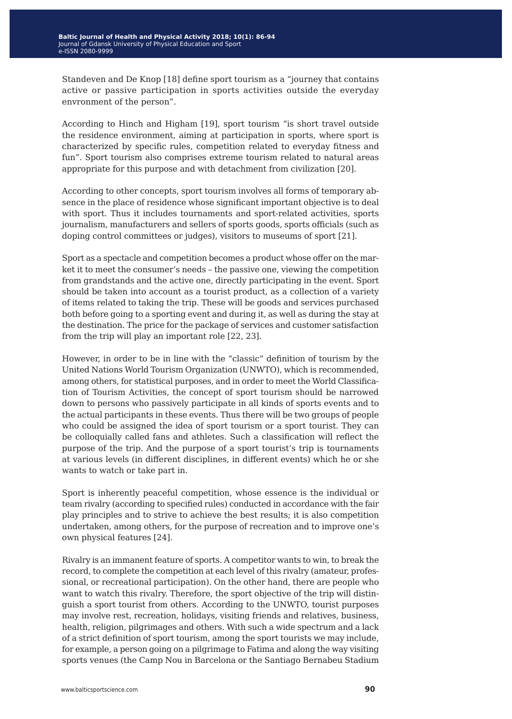Standeven and De Knop [18] define sport tourism as a "journey that contains active or passive participation in sports activities outside the everyday envronment of the person".

According to Hinch and Higham [19], sport tourism "is short travel outside the residence environment, aiming at participation in sports, where sport is characterized by specific rules, competition related to everyday fitness and fun". Sport tourism also comprises extreme tourism related to natural areas appropriate for this purpose and with detachment from civilization [20].

According to other concepts, sport tourism involves all forms of temporary absence in the place of residence whose significant important objective is to deal with sport. Thus it includes tournaments and sport-related activities, sports journalism, manufacturers and sellers of sports goods, sports officials (such as doping control committees or judges), visitors to museums of sport [21].

Sport as a spectacle and competition becomes a product whose offer on the market it to meet the consumer's needs – the passive one, viewing the competition from grandstands and the active one, directly participating in the event. Sport should be taken into account as a tourist product, as a collection of a variety of items related to taking the trip. These will be goods and services purchased both before going to a sporting event and during it, as well as during the stay at the destination. The price for the package of services and customer satisfaction from the trip will play an important role [22, 23].

However, in order to be in line with the "classic" definition of tourism by the United Nations World Tourism Organization (UNWTO), which is recommended, among others, for statistical purposes, and in order to meet the World Classification of Tourism Activities, the concept of sport tourism should be narrowed down to persons who passively participate in all kinds of sports events and to the actual participants in these events. Thus there will be two groups of people who could be assigned the idea of sport tourism or a sport tourist. They can be colloquially called fans and athletes. Such a classification will reflect the purpose of the trip. And the purpose of a sport tourist's trip is tournaments at various levels (in different disciplines, in different events) which he or she wants to watch or take part in.

Sport is inherently peaceful competition, whose essence is the individual or team rivalry (according to specified rules) conducted in accordance with the fair play principles and to strive to achieve the best results; it is also competition undertaken, among others, for the purpose of recreation and to improve one's own physical features [24].

Rivalry is an immanent feature of sports. A competitor wants to win, to break the record, to complete the competition at each level of this rivalry (amateur, professional, or recreational participation). On the other hand, there are people who want to watch this rivalry. Therefore, the sport objective of the trip will distinguish a sport tourist from others. According to the UNWTO, tourist purposes may involve rest, recreation, holidays, visiting friends and relatives, business, health, religion, pilgrimages and others. With such a wide spectrum and a lack of a strict definition of sport tourism, among the sport tourists we may include, for example, a person going on a pilgrimage to Fatima and along the way visiting sports venues (the Camp Nou in Barcelona or the Santiago Bernabeu Stadium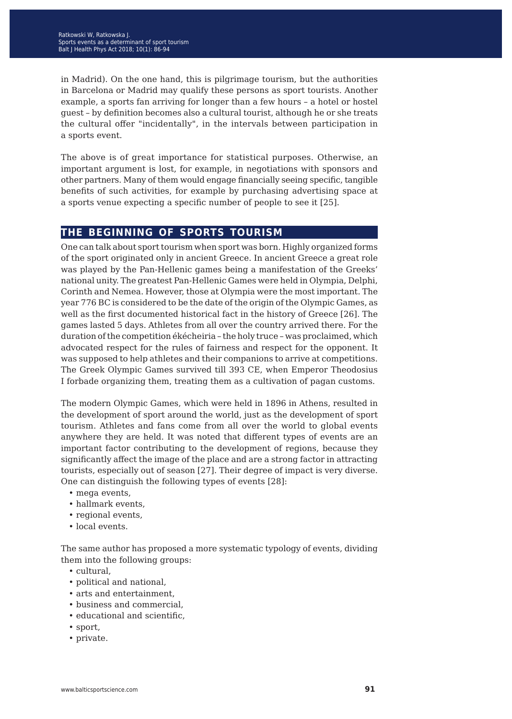in Madrid). On the one hand, this is pilgrimage tourism, but the authorities in Barcelona or Madrid may qualify these persons as sport tourists. Another example, a sports fan arriving for longer than a few hours – a hotel or hostel guest – by definition becomes also a cultural tourist, although he or she treats the cultural offer "incidentally", in the intervals between participation in a sports event.

The above is of great importance for statistical purposes. Otherwise, an important argument is lost, for example, in negotiations with sponsors and other partners. Many of them would engage financially seeing specific, tangible benefits of such activities, for example by purchasing advertising space at a sports venue expecting a specific number of people to see it [25].

#### **the beginning of sports tourism**

One can talk about sport tourism when sport was born. Highly organized forms of the sport originated only in ancient Greece. In ancient Greece a great role was played by the Pan-Hellenic games being a manifestation of the Greeks' national unity. The greatest Pan-Hellenic Games were held in Olympia, Delphi, Corinth and Nemea. However, those at Olympia were the most important. The year 776 BC is considered to be the date of the origin of the Olympic Games, as well as the first documented historical fact in the history of Greece [26]. The games lasted 5 days. Athletes from all over the country arrived there. For the duration of the competition ékécheiria – the holy truce – was proclaimed, which advocated respect for the rules of fairness and respect for the opponent. It was supposed to help athletes and their companions to arrive at competitions. The Greek Olympic Games survived till 393 CE, when Emperor Theodosius I forbade organizing them, treating them as a cultivation of pagan customs.

The modern Olympic Games, which were held in 1896 in Athens, resulted in the development of sport around the world, just as the development of sport tourism. Athletes and fans come from all over the world to global events anywhere they are held. It was noted that different types of events are an important factor contributing to the development of regions, because they significantly affect the image of the place and are a strong factor in attracting tourists, especially out of season [27]. Their degree of impact is very diverse. One can distinguish the following types of events [28]:

- mega events,
- hallmark events,
- regional events,
- local events.

The same author has proposed a more systematic typology of events, dividing them into the following groups:

- cultural,
- political and national,
- arts and entertainment,
- business and commercial,
- educational and scientific,
- sport,
- private.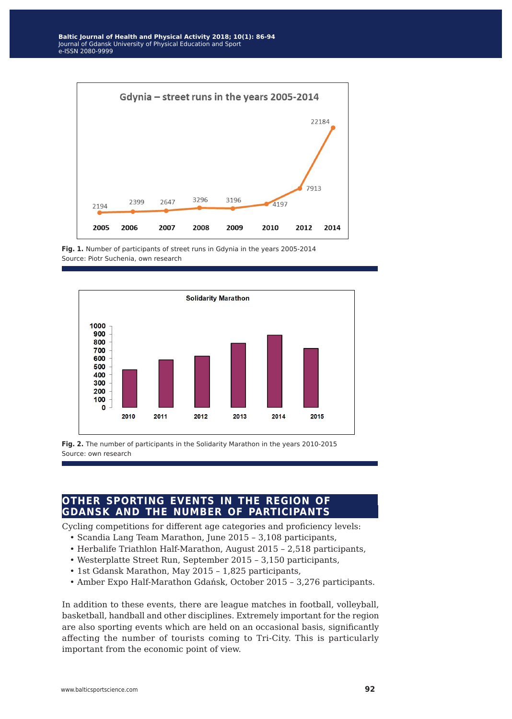

Fig. 1. Number of participants of street runs in Gdynia in the years 2005-2014 Source: Piotr Suchenia, own research



**Fig. 2.** The number of participants in the Solidarity Marathon in the years 2010-2015 Source: own research

# **other sporting events in the region of gdansk and the number of participants**

Cycling competitions for different age categories and proficiency levels:

- Scandia Lang Team Marathon, June 2015 3,108 participants,
- Herbalife Triathlon Half-Marathon, August 2015 2,518 participants,
- Westerplatte Street Run, September 2015 3,150 participants,
- 1st Gdansk Marathon, May 2015 1,825 participants,
- Amber Expo Half-Marathon Gdańsk, October 2015 3,276 participants.

In addition to these events, there are league matches in football, volleyball, basketball, handball and other disciplines. Extremely important for the region are also sporting events which are held on an occasional basis, significantly affecting the number of tourists coming to Tri-City. This is particularly important from the economic point of view.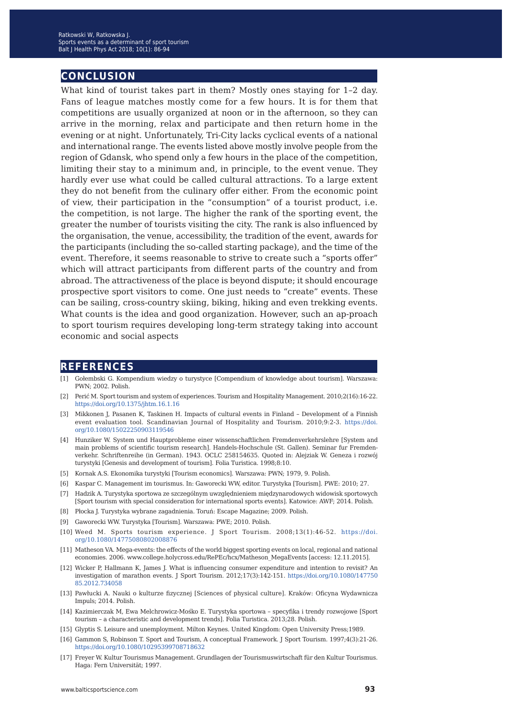### **conclusion**

What kind of tourist takes part in them? Mostly ones staying for 1–2 day. Fans of league matches mostly come for a few hours. It is for them that competitions are usually organized at noon or in the afternoon, so they can arrive in the morning, relax and participate and then return home in the evening or at night. Unfortunately, Tri-City lacks cyclical events of a national and international range. The events listed above mostly involve people from the region of Gdansk, who spend only a few hours in the place of the competition, limiting their stay to a minimum and, in principle, to the event venue. They hardly ever use what could be called cultural attractions. To a large extent they do not benefit from the culinary offer either. From the economic point of view, their participation in the "consumption" of a tourist product, i.e. the competition, is not large. The higher the rank of the sporting event, the greater the number of tourists visiting the city. The rank is also influenced by the organisation, the venue, accessibility, the tradition of the event, awards for the participants (including the so-called starting package), and the time of the event. Therefore, it seems reasonable to strive to create such a "sports offer" which will attract participants from different parts of the country and from abroad. The attractiveness of the place is beyond dispute; it should encourage prospective sport visitors to come. One just needs to "create" events. These can be sailing, cross-country skiing, biking, hiking and even trekking events. What counts is the idea and good organization. However, such an ap-proach to sport tourism requires developing long-term strategy taking into account economic and social aspects

#### **references**

- [1] Gołembski G. Kompendium wiedzy o turystyce [Compendium of knowledge about tourism]. Warszawa: PWN; 2002. Polish.
- [2] Perić M. Sport tourism and system of experiences. Tourism and Hospitality Management. 2010;2(16):16-22. <https://doi.org/10.1375/jhtm.16.1.16>
- [3] Mikkonen J, Pasanen K, Taskinen H. Impacts of cultural events in Finland Development of a Finnish event evaluation tool. Scandinavian Journal of Hospitality and Tourism. 2010;9:2-3. [https://doi.](https://doi.org/10.1080/15022250903119546) [org/10.1080/15022250903119546](https://doi.org/10.1080/15022250903119546)
- [4] Hunziker W. System und Hauptprobleme einer wissenschaftlichen Fremdenverkehrslehre [System and main problems of scientific tourism research]. Handels-Hochschule (St. Gallen). Seminar fur Fremdenverkehr. Schriftenreihe (in German). 1943. OCLC 258154635. Quoted in: Alejziak W. Geneza i rozwój turystyki [Genesis and development of tourism]. Folia Turistica. 1998;8:10.
- [5] Kornak A.S. Ekonomika turystyki [Tourism economics]. Warszawa: PWN; 1979, 9. Polish.
- [6] Kaspar C. Management im tourismus. In: Gaworecki WW, editor. Turystyka [Tourism]. PWE: 2010; 27.
- [7] Hadzik A. Turystyka sportowa ze szczególnym uwzględnieniem międzynarodowych widowisk sportowych [Sport tourism with special consideration for international sports events]. Katowice: AWF; 2014. Polish.
- [8] Płocka J. Turystyka wybrane zagadnienia. Toruń: Escape Magazine; 2009. Polish.
- [9] Gaworecki WW. Turystyka [Tourism]. Warszawa: PWE; 2010. Polish.
- [10] Weed M. Sports tourism experience. J Sport Tourism. 2008;13(1):46-52. [https://doi.](https://doi.org/10.1080/14775080802008876) [org/10.1080/14775080802008876](https://doi.org/10.1080/14775080802008876)
- [11] Matheson VA. Mega-events: the effects of the world biggest sporting events on local, regional and national economies. 2006. www.college.holycross.edu/RePEc/hcx/Matheson\_MegaEvents [access: 12.11.2015].
- [12] Wicker P, Hallmann K, James J. What is influencing consumer expenditure and intention to revisit? An investigation of marathon events. J Sport Tourism. 2012;17(3):142-151. [https://doi.org/10.1080/147750](https://doi.org/10.1080/14775085.2012.734058) [85.2012.734058](https://doi.org/10.1080/14775085.2012.734058)
- [13] Pawłucki A. Nauki o kulturze fizycznej [Sciences of physical culture]. Kraków: Oficyna Wydawnicza Impuls; 2014. Polish.
- [14] Kazimierczak M, Ewa Melchrowicz-Mośko E. Turystyka sportowa specyfika i trendy rozwojowe [Sport tourism – a characteristic and development trends]. Folia Turistica. 2013;28. Polish.
- [15] Glyptis S. Leisure and unemployment. Milton Keynes. United Kingdom: Open University Press;1989.
- [16] Gammon S, Robinson T. Sport and Tourism, A conceptual Framework. J Sport Tourism. 1997;4(3):21-26. <https://doi.org/10.1080/10295399708718632>
- [17] Freyer W. Kultur Tourismus Management. Grundlagen der Tourismuswirtschaft für den Kultur Tourismus. Haga: Fern Universität; 1997.